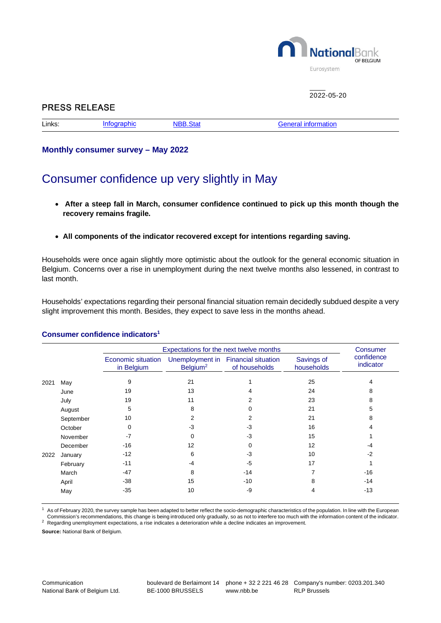

## $2022 - 05 - 20$

| <b>PRESS RELEASE</b> |                    |                 |                            |  |  |  |  |
|----------------------|--------------------|-----------------|----------------------------|--|--|--|--|
| Links:               | <b>Infographic</b> | <b>NBB.Stat</b> | <b>General information</b> |  |  |  |  |

**Monthly consumer survey – May 2022**

# Consumer confidence up very slightly in May

- **After a steep fall in March, consumer confidence continued to pick up this month though the recovery remains fragile.**
- **All components of the indicator recovered except for intentions regarding saving.**

Households were once again slightly more optimistic about the outlook for the general economic situation in Belgium. Concerns over a rise in unemployment during the next twelve months also lessened, in contrast to last month.

Households' expectations regarding their personal financial situation remain decidedly subdued despite a very slight improvement this month. Besides, they expect to save less in the months ahead.

|      |           | Expectations for the next twelve months | Consumer             |                                                      |                          |                         |
|------|-----------|-----------------------------------------|----------------------|------------------------------------------------------|--------------------------|-------------------------|
|      |           | Economic situation<br>in Belgium        | Belgium <sup>2</sup> | Unemployment in Financial situation<br>of households | Savings of<br>households | confidence<br>indicator |
| 2021 | May       | 9                                       | 21                   |                                                      | 25                       | 4                       |
|      | June      | 19                                      | 13                   |                                                      | 24                       | 8                       |
|      | July      | 19                                      | 11                   |                                                      | 23                       | 8                       |
|      | August    | 5                                       | 8                    | n                                                    | 21                       | 5                       |
|      | September | 10                                      | 2                    |                                                      | 21                       | 8                       |
|      | October   | 0                                       | -3                   | -3                                                   | 16                       |                         |
|      | November  | $-7$                                    | <sup>0</sup>         | $-3$                                                 | 15                       |                         |
|      | December  | $-16$                                   | 12                   | 0                                                    | 12                       | -4                      |
| 2022 | January   | $-12$                                   | 6                    | $-3$                                                 | 10                       | $-2$                    |
|      | February  | $-11$                                   | -4                   | -5                                                   | 17                       |                         |
|      | March     | $-47$                                   | 8                    | $-14$                                                |                          | $-16$                   |
|      | April     | $-38$                                   | 15                   | $-10$                                                | 8                        | $-14$                   |
|      | May       | $-35$                                   | 10                   | -9                                                   |                          | $-13$                   |

### **Consumer confidence indicators<sup>1</sup>**

1 As of February 2020, the survey sample has been adapted to better reflect the socio-demographic characteristics of the population. In line with the European Commission's recommendations, this change is being introduced only gradually, so as not to interfere too much with the information content of the indicator.  $2$  Regarding unemployment expectations, a rise indicates a deterioration while a decline indicates an improvement.

**Source:** National Bank of Belgium.

BE-1000 BRUSSELS

www.nbb.be